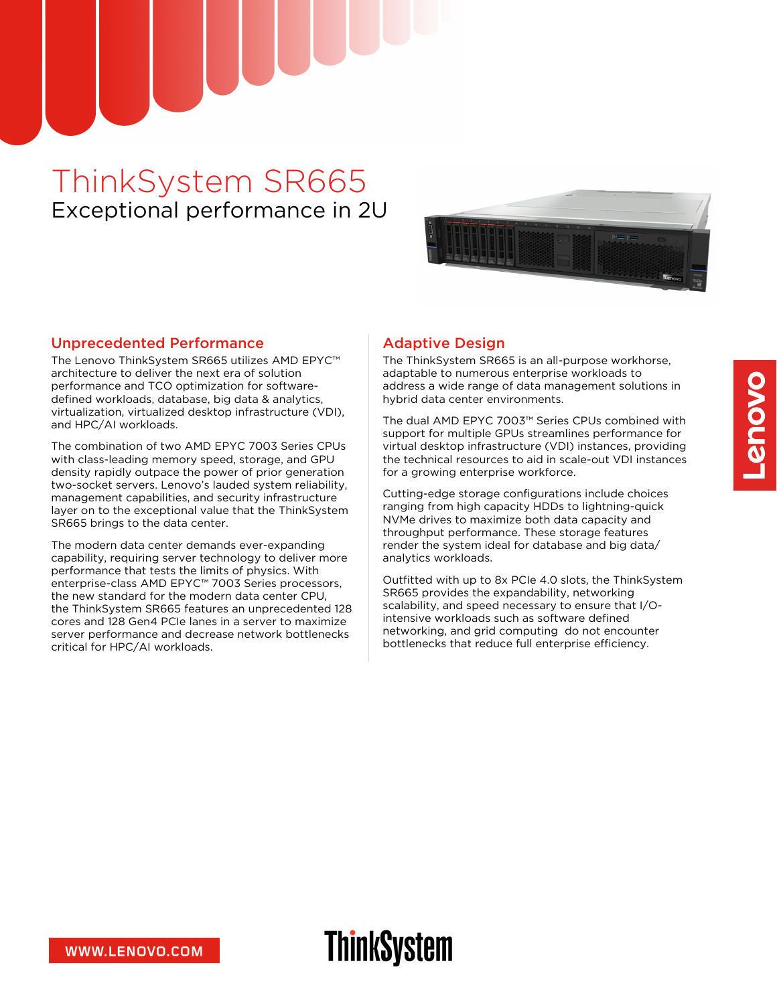## ThinkSystem SR665 Exceptional performance in 2U



#### Unprecedented Performance

The Lenovo ThinkSystem SR665 utilizes AMD EPYC™ architecture to deliver the next era of solution performance and TCO optimization for softwaredefined workloads, database, big data & analytics, virtualization, virtualized desktop infrastructure (VDI), and HPC/AI workloads.

The combination of two AMD EPYC 7003 Series CPUs with class-leading memory speed, storage, and GPU density rapidly outpace the power of prior generation two-socket servers. Lenovo's lauded system reliability, management capabilities, and security infrastructure layer on to the exceptional value that the ThinkSystem SR665 brings to the data center.

The modern data center demands ever-expanding capability, requiring server technology to deliver more performance that tests the limits of physics. With enterprise-class AMD EPYC™ 7003 Series processors, the new standard for the modern data center CPU, the ThinkSystem SR665 features an unprecedented 128 cores and 128 Gen4 PCIe lanes in a server to maximize server performance and decrease network bottlenecks critical for HPC/AI workloads.

### Adaptive Design

The ThinkSystem SR665 is an all-purpose workhorse, adaptable to numerous enterprise workloads to address a wide range of data management solutions in hybrid data center environments.

The dual AMD EPYC 7003™ Series CPUs combined with support for multiple GPUs streamlines performance for virtual desktop infrastructure (VDI) instances, providing the technical resources to aid in scale-out VDI instances for a growing enterprise workforce.

Cutting-edge storage configurations include choices ranging from high capacity HDDs to lightning-quick NVMe drives to maximize both data capacity and throughput performance. These storage features render the system ideal for database and big data/ analytics workloads.

Outfitted with up to 8x PCIe 4.0 slots, the ThinkSystem SR665 provides the expandability, networking scalability, and speed necessary to ensure that I/Ointensive workloads such as software defined networking, and grid computing do not encounter bottlenecks that reduce full enterprise efficiency.

# **ThinkSystem**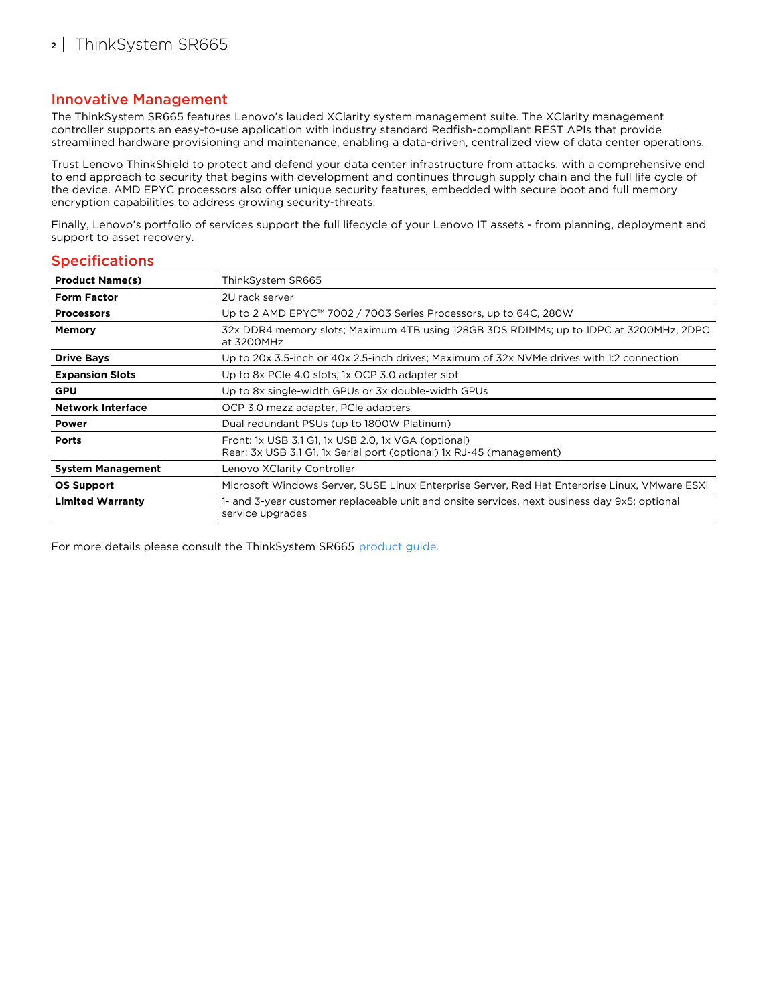#### Innovative Management

The ThinkSystem SR665 features Lenovo's lauded XClarity system management suite. The XClarity management controller supports an easy-to-use application with industry standard Redfish-compliant REST APIs that provide streamlined hardware provisioning and maintenance, enabling a data-driven, centralized view of data center operations.

Trust Lenovo ThinkShield to protect and defend your data center infrastructure from attacks, with a comprehensive end to end approach to security that begins with development and continues through supply chain and the full life cycle of the device. AMD EPYC processors also offer unique security features, embedded with secure boot and full memory encryption capabilities to address growing security-threats.

Finally, Lenovo's portfolio of services support the full lifecycle of your Lenovo IT assets - from planning, deployment and support to asset recovery.

#### **Specifications**

| <b>Product Name(s)</b>   | ThinkSystem SR665                                                                                                           |
|--------------------------|-----------------------------------------------------------------------------------------------------------------------------|
| <b>Form Factor</b>       | 2U rack server                                                                                                              |
| <b>Processors</b>        | Up to 2 AMD EPYC™ 7002 / 7003 Series Processors, up to 64C, 280W                                                            |
| <b>Memory</b>            | 32x DDR4 memory slots; Maximum 4TB using 128GB 3DS RDIMMs; up to 1DPC at 3200MHz, 2DPC<br>at 3200MHz                        |
| <b>Drive Bays</b>        | Up to 20x 3.5-inch or 40x 2.5-inch drives; Maximum of 32x NVMe drives with 1:2 connection                                   |
| <b>Expansion Slots</b>   | Up to 8x PCIe 4.0 slots, 1x OCP 3.0 adapter slot                                                                            |
| <b>GPU</b>               | Up to 8x single-width GPUs or 3x double-width GPUs                                                                          |
| <b>Network Interface</b> | OCP 3.0 mezz adapter, PCIe adapters                                                                                         |
| <b>Power</b>             | Dual redundant PSUs (up to 1800W Platinum)                                                                                  |
| <b>Ports</b>             | Front: 1x USB 3.1 G1, 1x USB 2.0, 1x VGA (optional)<br>Rear: 3x USB 3.1 G1, 1x Serial port (optional) 1x RJ-45 (management) |
| <b>System Management</b> | Lenovo XClarity Controller                                                                                                  |
| <b>OS Support</b>        | Microsoft Windows Server, SUSE Linux Enterprise Server, Red Hat Enterprise Linux, VMware ESXi                               |
| <b>Limited Warranty</b>  | 1- and 3-year customer replaceable unit and onsite services, next business day 9x5; optional<br>service upgrades            |

For more details please consult the ThinkSystem SR665 [product](https://lenovopress.com/lp1269) guide.